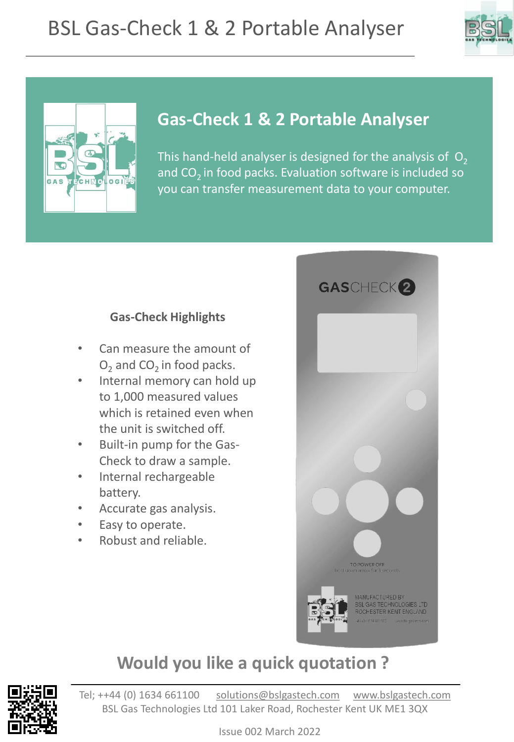



#### **Gas-Check 1 & 2 Portable Analyser**

This hand-held analyser is designed for the analysis of  $O<sub>2</sub>$ and  $CO<sub>2</sub>$  in food packs. Evaluation software is included so you can transfer measurement data to your computer.

#### **Gas-Check Highlights**

- Can measure the amount of  $O<sub>2</sub>$  and CO<sub>2</sub> in food packs.
- Internal memory can hold up to 1,000 measured values which is retained even when the unit is switched off.
- Built-in pump for the Gas-Check to draw a sample.
- Internal rechargeable battery.
- Accurate gas analysis.
- Easy to operate.
- Robust and reliable.



#### **Would you like a quick quotation ?**

Tel; ++44 (0) 1634 661100 [solutions@bslgastech.com](mailto:solutions@bslgastech.com) [www.bslgastech.com](http://www.bslgastech.com/) BSL Gas Technologies Ltd 101 Laker Road, Rochester Kent UK ME1 3QX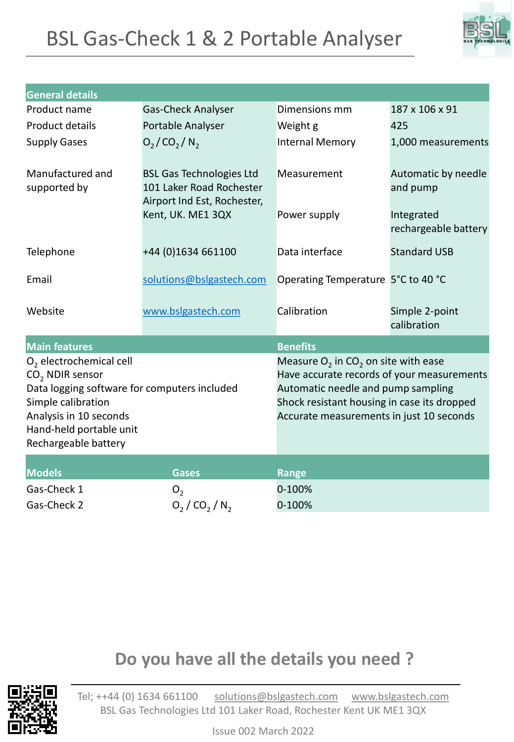## BSL Gas-Check 1 & 2 Portable Analyser



| <b>General details</b>                                                                                                                                                                                      |                                                                                            |                                                                                                                                                                                                                                   |                                    |
|-------------------------------------------------------------------------------------------------------------------------------------------------------------------------------------------------------------|--------------------------------------------------------------------------------------------|-----------------------------------------------------------------------------------------------------------------------------------------------------------------------------------------------------------------------------------|------------------------------------|
| Product name                                                                                                                                                                                                | Gas-Check Analyser                                                                         | Dimensions mm                                                                                                                                                                                                                     | 187 x 106 x 91                     |
| <b>Product details</b>                                                                                                                                                                                      | Portable Analyser                                                                          | Weight g                                                                                                                                                                                                                          | 425                                |
| <b>Supply Gases</b>                                                                                                                                                                                         | $O_2$ /CO <sub>2</sub> /N <sub>2</sub>                                                     | <b>Internal Memory</b>                                                                                                                                                                                                            | 1,000 measurements                 |
| Manufactured and<br>supported by                                                                                                                                                                            | <b>BSL Gas Technologies Ltd</b><br>101 Laker Road Rochester<br>Airport Ind Est, Rochester, | Measurement                                                                                                                                                                                                                       | Automatic by needle<br>and pump    |
|                                                                                                                                                                                                             | Kent, UK. ME1 3QX                                                                          | Power supply                                                                                                                                                                                                                      | Integrated<br>rechargeable battery |
| Telephone                                                                                                                                                                                                   | +44 (0)1634 661100                                                                         | Data interface                                                                                                                                                                                                                    | <b>Standard USB</b>                |
| Email                                                                                                                                                                                                       | solutions@bslgastech.com                                                                   | Operating Temperature 5°C to 40 °C                                                                                                                                                                                                |                                    |
| Website                                                                                                                                                                                                     | www.bslgastech.com                                                                         | Calibration                                                                                                                                                                                                                       | Simple 2-point<br>calibration      |
| <b>Benefits</b><br><b>Main features</b>                                                                                                                                                                     |                                                                                            |                                                                                                                                                                                                                                   |                                    |
| $O2$ electrochemical cell<br>CO <sub>2</sub> NDIR sensor<br>Data logging software for computers included<br>Simple calibration<br>Analysis in 10 seconds<br>Hand-held portable unit<br>Rechargeable battery |                                                                                            | Measure $O_2$ in CO <sub>2</sub> on site with ease<br>Have accurate records of your measurements<br>Automatic needle and pump sampling<br>Shock resistant housing in case its dropped<br>Accurate measurements in just 10 seconds |                                    |
| <b>Models</b>                                                                                                                                                                                               | <b>Gases</b>                                                                               | <b>Range</b>                                                                                                                                                                                                                      |                                    |
| Gas-Check 1                                                                                                                                                                                                 | O <sub>2</sub>                                                                             | 0-100%                                                                                                                                                                                                                            |                                    |
| Gas-Check 2                                                                                                                                                                                                 | $O_2 / CO_2 / N_2$                                                                         | 0-100%                                                                                                                                                                                                                            |                                    |

### **Do you have all the details you need ?**

Tel; ++44 (0) 1634 661100 [solutions@bslgastech.com](mailto:solutions@bslgastech.com) [www.bslgastech.com](http://www.bslgastech.com/) BSL Gas Technologies Ltd 101 Laker Road, Rochester Kent UK ME1 3QX

Issue 002 March 2022